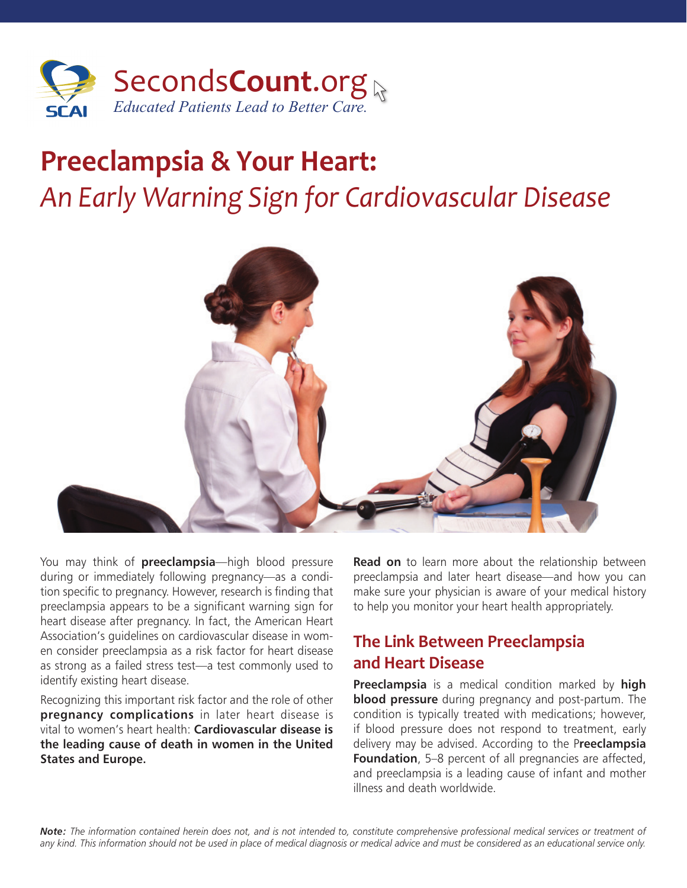

# **Preeclampsia & Your Heart:**  *An Early Warning Sign for Cardiovascular Disease*



You may think of **preeclampsia**—high blood pressure during or immediately following pregnancy—as a condition specific to pregnancy. However, research is finding that preeclampsia appears to be a significant warning sign for heart disease after pregnancy. In fact, the American Heart Association's guidelines on cardiovascular disease in women consider preeclampsia as a risk factor for heart disease as strong as a failed stress test—a test commonly used to identify existing heart disease.

Recognizing this important risk factor and the role of other **pregnancy complications** in later heart disease is vital to women's heart health: **Cardiovascular disease is the leading cause of death in women in the United States and Europe.**

**Read on** to learn more about the relationship between preeclampsia and later heart disease—and how you can make sure your physician is aware of your medical history to help you monitor your heart health appropriately.

#### **The Link Between Preeclampsia and Heart Disease**

**Preeclampsia** is a medical condition marked by **high blood pressure** during pregnancy and post-partum. The condition is typically treated with medications; however, if blood pressure does not respond to treatment, early delivery may be advised. According to the P**reeclampsia Foundation**, 5–8 percent of all pregnancies are affected, and preeclampsia is a leading cause of infant and mother illness and death worldwide.

*Note: The information contained herein does not, and is not intended to, constitute comprehensive professional medical services or treatment of any kind. This information should not be used in place of medical diagnosis or medical advice and must be considered as an educational service only.*